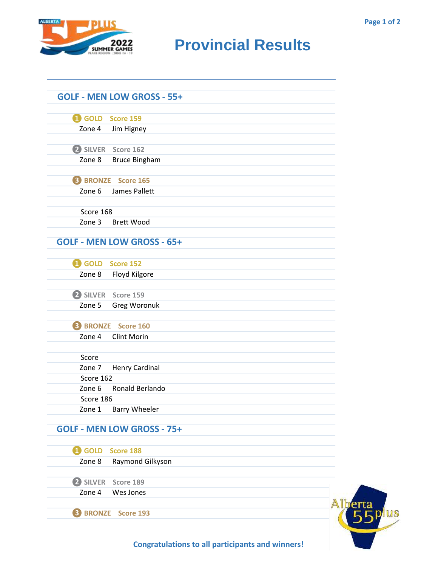

## **RIDER CAMES PROVINCIAL RESULTS**

|                         | <b>GOLF - MEN LOW GROSS - 55+</b> |  |
|-------------------------|-----------------------------------|--|
| GOLD Score 159          |                                   |  |
| Zone 4                  | Jim Higney                        |  |
|                         | 2 SILVER Score 162                |  |
| Zone 8                  | <b>Bruce Bingham</b>              |  |
|                         | <b>B</b> BRONZE Score 165         |  |
| Zone 6                  | James Pallett                     |  |
| Score 168               |                                   |  |
| Zone 3                  | <b>Brett Wood</b>                 |  |
|                         | <b>GOLF - MEN LOW GROSS - 65+</b> |  |
| <b>1</b> GOLD Score 152 |                                   |  |
| Zone 8                  | Floyd Kilgore                     |  |
|                         | 2 SILVER Score 159                |  |
| Zone 5                  | Greg Woronuk                      |  |
|                         | <b>B</b> BRONZE Score 160         |  |
| Zone 4                  | <b>Clint Morin</b>                |  |
| Score                   |                                   |  |
| Zone 7                  | <b>Henry Cardinal</b>             |  |
| Score 162               |                                   |  |
| Zone 6                  | Ronald Berlando                   |  |
| Score 186<br>Zone 1     | <b>Barry Wheeler</b>              |  |
|                         | <b>GOLF - MEN LOW GROSS - 75+</b> |  |
| <b>1</b> GOLD           | Score 188                         |  |
| Zone 8                  | Raymond Gilkyson                  |  |
| 2 SILVER                | Score 189                         |  |
| Zone 4                  | Wes Jones                         |  |